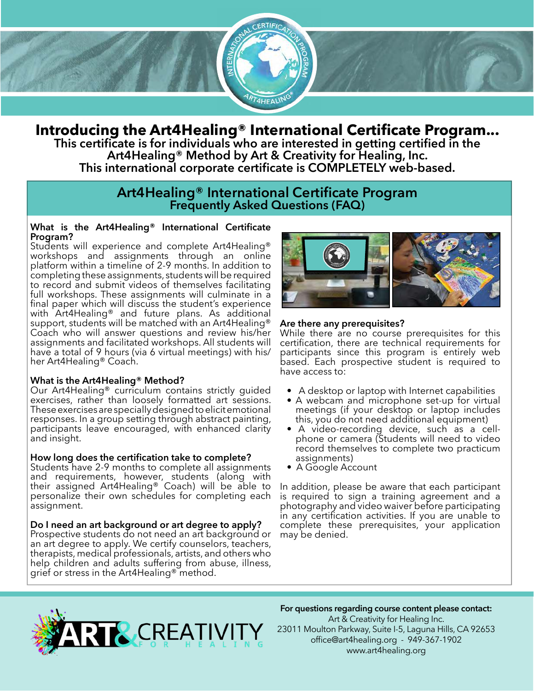

# **Introducing the Art4Healing® International Certificate Program...**

**This certificate is for individuals who are interested in getting certified in the Art4Healing® Method by Art & Creativity for Healing, Inc. This international corporate certificate is COMPLETELY web-based.**

## **Art4Healing® International Certificate Program Frequently Asked Questions (FAQ)**

#### **What is the Art4Healing® International Certificate Program?**

Students will experience and complete Art4Healing® workshops and assignments through an online platform within a timeline of 2-9 months. In addition to completing these assignments, students will be required to record and submit videos of themselves facilitating full workshops. These assignments will culminate in a final paper which will discuss the student's experience with Art4Healing® and future plans. As additional support, students will be matched with an Art4Healing® Coach who will answer questions and review his/her assignments and facilitated workshops. All students will have a total of 9 hours (via 6 virtual meetings) with his/ her Art4Healing® Coach.

## **What is the Art4Healing® Method?**

Our Art4Healing® curriculum contains strictly guided exercises, rather than loosely formatted art sessions. These exercises are specially designed to elicit emotional responses. In a group setting through abstract painting, participants leave encouraged, with enhanced clarity and insight.

#### **How long does the certification take to complete?**

Students have 2-9 months to complete all assignments and requirements, however, students (along with their assigned Art4Healing® Coach) will be able to personalize their own schedules for completing each assignment.

#### **Do I need an art background or art degree to apply?**

Prospective students do not need an art background or an art degree to apply. We certify counselors, teachers, therapists, medical professionals, artists, and others who help children and adults suffering from abuse, illness, grief or stress in the Art4Healing® method.



## **Are there any prerequisites?**

While there are no course prerequisites for this certification, there are technical requirements for participants since this program is entirely web based. Each prospective student is required to have access to:

- A desktop or laptop with Internet capabilities
- A webcam and microphone set-up for virtual meetings (if your desktop or laptop includes this, you do not need additional equipment)
- A video-recording device, such as a cellphone or camera (Students will need to video record themselves to complete two practicum assignments)
- A Google Account

In addition, please be aware that each participant is required to sign a training agreement and a photography and video waiver before participating in any certification activities. If you are unable to complete these prerequisites, your application may be denied.



## **For questions regarding course content please contact:**

Art & Creativity for Healing Inc. 23011 Moulton Parkway, Suite I-5, Laguna Hills, CA 92653 office@art4healing.org - 949-367-1902 www.art4healing.org